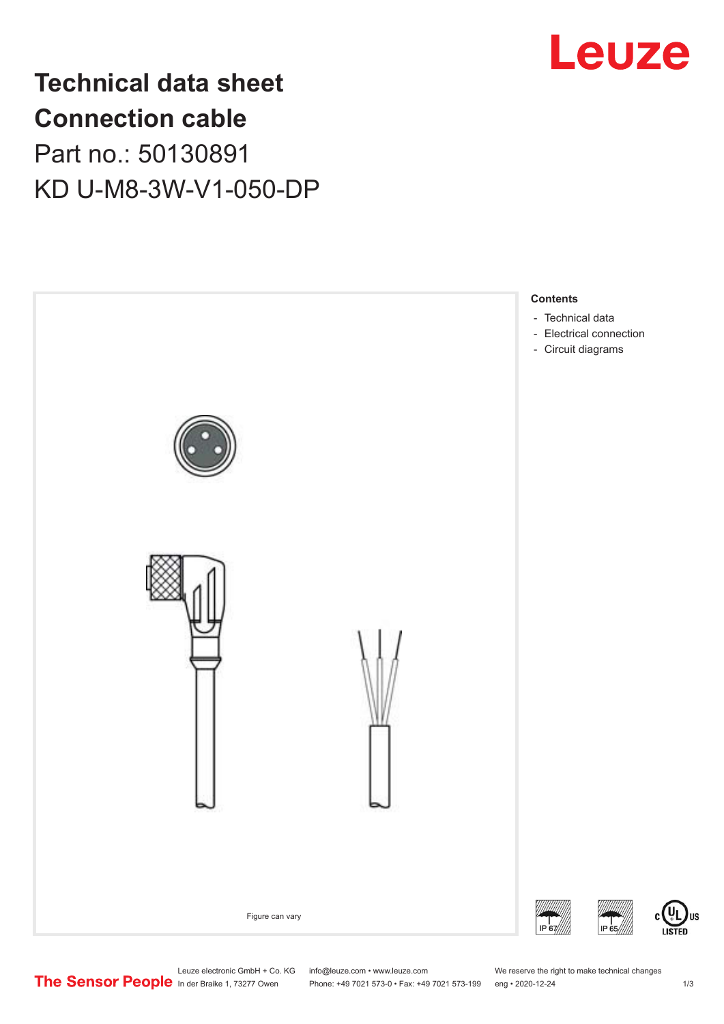

# **Technical data sheet Connection cable** Part no.: 50130891 KD U-M8-3W-V1-050-DP



Leuze electronic GmbH + Co. KG info@leuze.com • www.leuze.com We reserve the right to make technical changes<br>
The Sensor People in der Braike 1, 73277 Owen Phone: +49 7021 573-0 • Fax: +49 7021 573-199 eng • 2020-12-24

Phone: +49 7021 573-0 • Fax: +49 7021 573-199 eng • 2020-12-24 1 2020-12-24

US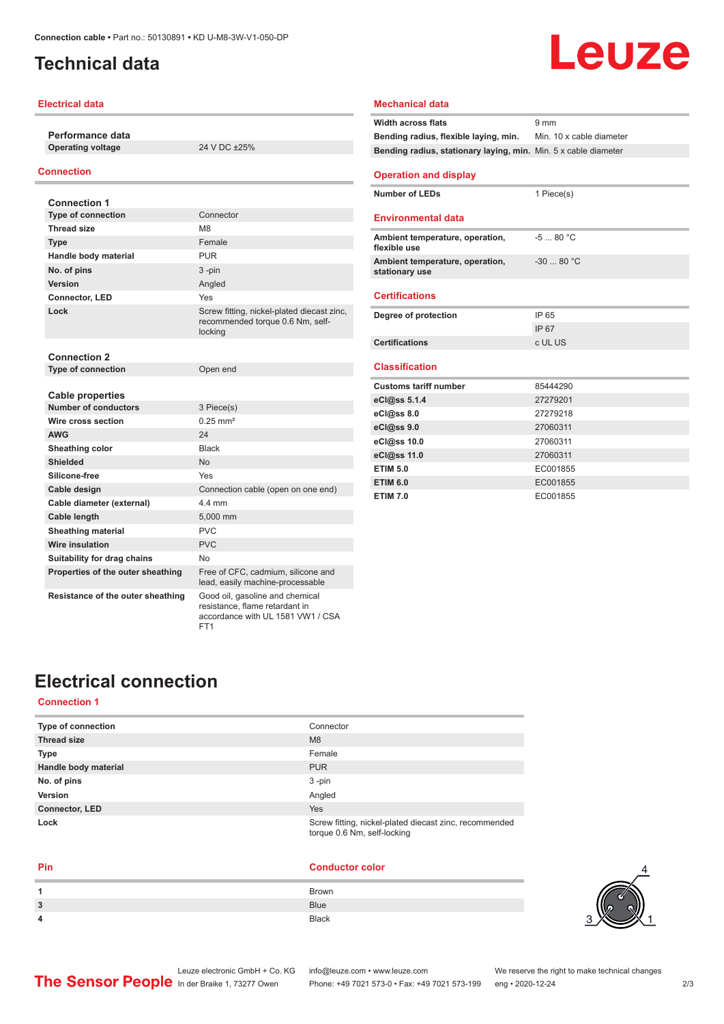### <span id="page-1-0"></span>**Technical data**

#### **Electrical data**

**Performance data Operating voltage** 24 V DC ±25%

#### **Connection**

| <b>Connection 1</b>               |                                                                                           |
|-----------------------------------|-------------------------------------------------------------------------------------------|
| <b>Type of connection</b>         | Connector                                                                                 |
| <b>Thread size</b>                | M <sub>8</sub>                                                                            |
| <b>Type</b>                       | Female                                                                                    |
| Handle body material              | <b>PUR</b>                                                                                |
| No. of pins                       | $3 - pin$                                                                                 |
| Version                           | Angled                                                                                    |
| Connector, LED                    | Yes                                                                                       |
| Lock                              | Screw fitting, nickel-plated diecast zinc,<br>recommended torque 0.6 Nm, self-<br>locking |
| <b>Connection 2</b>               |                                                                                           |
| <b>Type of connection</b>         | Open end                                                                                  |
| <b>Cable properties</b>           |                                                                                           |
| Number of conductors              | 3 Piece(s)                                                                                |
| Wire cross section                | $0.25$ mm <sup>2</sup>                                                                    |
| <b>AWG</b>                        | 24                                                                                        |
| Sheathing color                   | <b>Black</b>                                                                              |
| <b>Shielded</b>                   | <b>No</b>                                                                                 |
| Silicone-free                     | Yes                                                                                       |
| Cable design                      | Connection cable (open on one end)                                                        |
| Cable diameter (external)         | 44 mm                                                                                     |
| Cable length                      | 5,000 mm                                                                                  |
| <b>Sheathing material</b>         | PVC                                                                                       |
| Wire insulation                   | PVC                                                                                       |
| Suitability for drag chains       | No                                                                                        |
| Properties of the outer sheathing | Free of CFC, cadmium, silicone and<br>lead, easily machine-processable                    |
| Resistance of the outer sheathing | Good oil, gasoline and chemical<br>resistance, flame retardant in                         |

FT1

#### **Width across flats** 9 mm **Bending radius, flexible laying, min.** Min. 10 x cable diameter **Bending radius, stationary laying, min.** Min. 5 x cable diameter **Operation and display Number of LEDs** 1 Piece(s) **Environmental data Ambient temperature, operation, flexible use** -5 ... 80 °C **Ambient temperature, operation, stationary use** -30 ... 80 °C **Certifications Degree of protection** IP 65 IP 67 **Certifications** c UL US **Classification Customs tariff number** 85444290 **eCl@ss 5.1.4** 27279201 **eCl@ss 8.0** 27279218 **eCl@ss 9.0** 27060311 **eCl@ss 10.0** 27060311 **eCl@ss 11.0** 27060311 **ETIM 5.0** EC001855 **ETIM 6.0** EC001855 **ETIM 7.0** EC001855

Leuze

**Mechanical data**

### **Electrical connection**

#### **Connection 1**

| Type of connection    | Connector                                                                             |
|-----------------------|---------------------------------------------------------------------------------------|
| <b>Thread size</b>    | M <sub>8</sub>                                                                        |
| <b>Type</b>           | Female                                                                                |
| Handle body material  | <b>PUR</b>                                                                            |
| No. of pins           | $3 - pin$                                                                             |
| Version               | Angled                                                                                |
| <b>Connector, LED</b> | Yes                                                                                   |
| Lock                  | Screw fitting, nickel-plated diecast zinc, recommended<br>torque 0.6 Nm, self-locking |

accordance with UL 1581 VW1 / CSA

| Pin | <b>Conductor color</b> |
|-----|------------------------|
|     | Brown                  |
| 3   | <b>Blue</b>            |
| 4   | <b>Black</b>           |